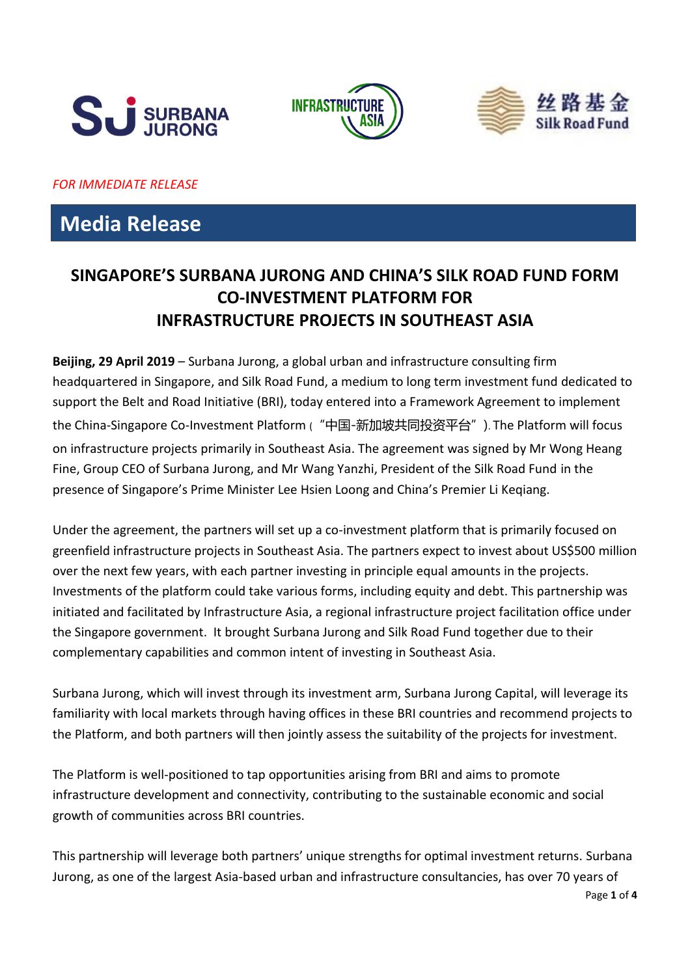





*FOR IMMEDIATE RELEASE*

# **Media Release**

## **SINGAPORE'S SURBANA JURONG AND CHINA'S SILK ROAD FUND FORM CO-INVESTMENT PLATFORM FOR INFRASTRUCTURE PROJECTS IN SOUTHEAST ASIA**

**Beijing, 29 April 2019** – Surbana Jurong, a global urban and infrastructure consulting firm headquartered in Singapore, and Silk Road Fund, a medium to long term investment fund dedicated to support the Belt and Road Initiative (BRI), today entered into a Framework Agreement to implement the China-Singapore Co-Investment Platform ("中国-新加坡共同投资平台"). The Platform will focus on infrastructure projects primarily in Southeast Asia. The agreement was signed by Mr Wong Heang Fine, Group CEO of Surbana Jurong, and Mr Wang Yanzhi, President of the Silk Road Fund in the presence of Singapore's Prime Minister Lee Hsien Loong and China's Premier Li Keqiang.

Under the agreement, the partners will set up a co-investment platform that is primarily focused on greenfield infrastructure projects in Southeast Asia. The partners expect to invest about US\$500 million over the next few years, with each partner investing in principle equal amounts in the projects. Investments of the platform could take various forms, including equity and debt. This partnership was initiated and facilitated by Infrastructure Asia, a regional infrastructure project facilitation office under the Singapore government. It brought Surbana Jurong and Silk Road Fund together due to their complementary capabilities and common intent of investing in Southeast Asia.

Surbana Jurong, which will invest through its investment arm, Surbana Jurong Capital, will leverage its familiarity with local markets through having offices in these BRI countries and recommend projects to the Platform, and both partners will then jointly assess the suitability of the projects for investment.

The Platform is well-positioned to tap opportunities arising from BRI and aims to promote infrastructure development and connectivity, contributing to the sustainable economic and social growth of communities across BRI countries.

This partnership will leverage both partners' unique strengths for optimal investment returns. Surbana Jurong, as one of the largest Asia-based urban and infrastructure consultancies, has over 70 years of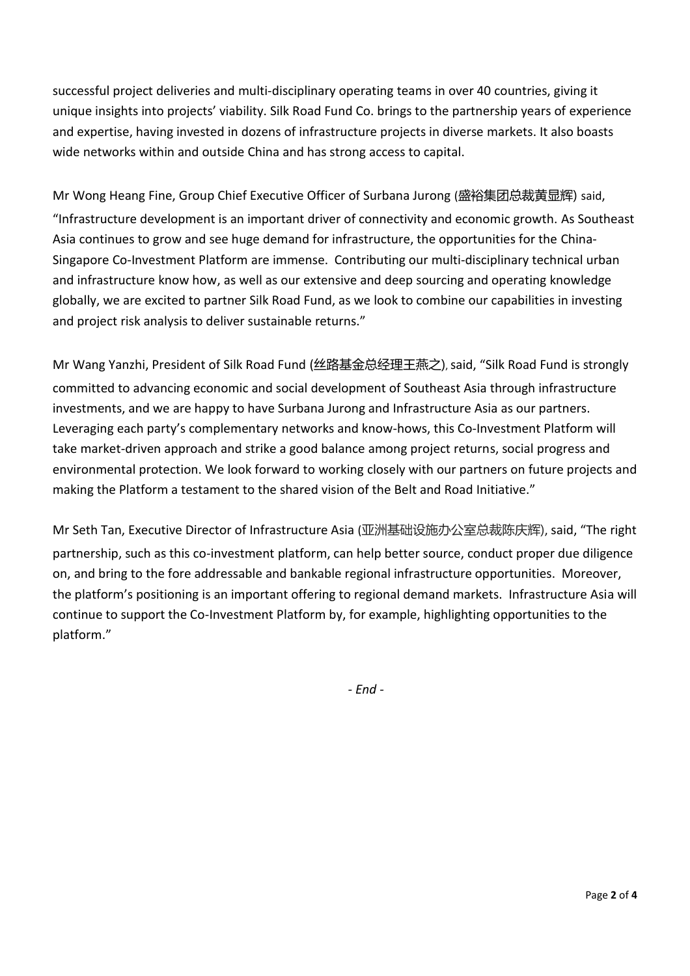successful project deliveries and multi-disciplinary operating teams in over 40 countries, giving it unique insights into projects' viability. Silk Road Fund Co. brings to the partnership years of experience and expertise, having invested in dozens of infrastructure projects in diverse markets. It also boasts wide networks within and outside China and has strong access to capital.

Mr Wong Heang Fine, Group Chief Executive Officer of Surbana Jurong (盛裕集团总裁黄显辉) said, "Infrastructure development is an important driver of connectivity and economic growth. As Southeast Asia continues to grow and see huge demand for infrastructure, the opportunities for the China-Singapore Co-Investment Platform are immense. Contributing our multi-disciplinary technical urban and infrastructure know how, as well as our extensive and deep sourcing and operating knowledge globally, we are excited to partner Silk Road Fund, as we look to combine our capabilities in investing and project risk analysis to deliver sustainable returns."

Mr Wang Yanzhi, President of Silk Road Fund (丝路基金总经理王燕之), said, "Silk Road Fund is strongly committed to advancing economic and social development of Southeast Asia through infrastructure investments, and we are happy to have Surbana Jurong and Infrastructure Asia as our partners. Leveraging each party's complementary networks and know-hows, this Co-Investment Platform will take market-driven approach and strike a good balance among project returns, social progress and environmental protection. We look forward to working closely with our partners on future projects and making the Platform a testament to the shared vision of the Belt and Road Initiative."

Mr Seth Tan, Executive Director of Infrastructure Asia (亚洲基础设施办公室总裁陈庆辉), said, "The right partnership, such as this co-investment platform, can help better source, conduct proper due diligence on, and bring to the fore addressable and bankable regional infrastructure opportunities. Moreover, the platform's positioning is an important offering to regional demand markets. Infrastructure Asia will continue to support the Co-Investment Platform by, for example, highlighting opportunities to the platform."

*- End -*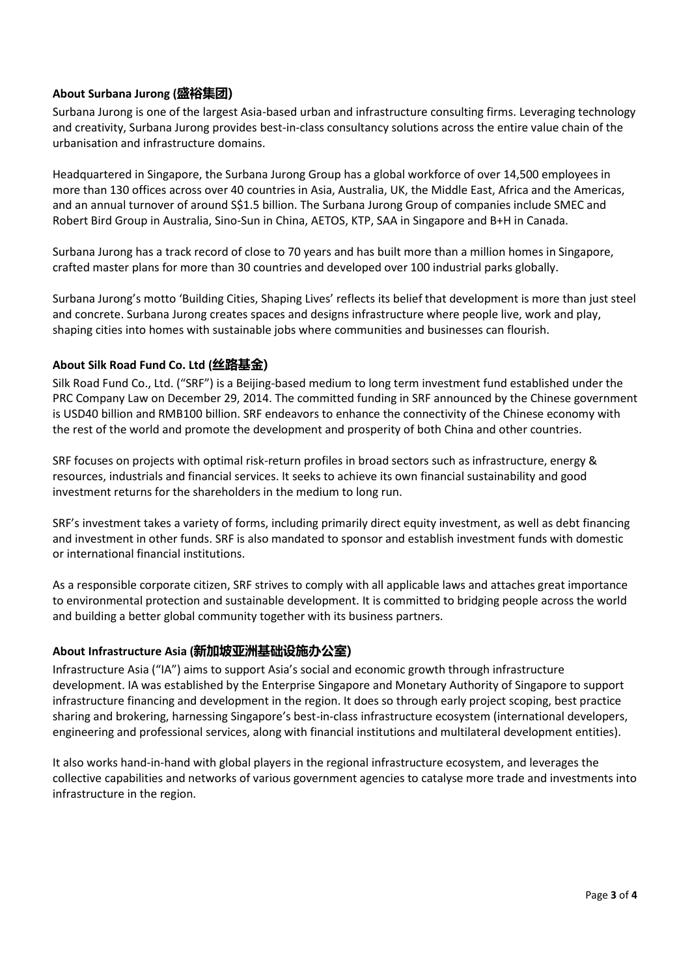### **About Surbana Jurong (盛裕集团)**

Surbana Jurong is one of the largest Asia-based urban and infrastructure consulting firms. Leveraging technology and creativity, Surbana Jurong provides best-in-class consultancy solutions across the entire value chain of the urbanisation and infrastructure domains.

Headquartered in Singapore, the Surbana Jurong Group has a global workforce of over 14,500 employees in more than 130 offices across over 40 countries in Asia, Australia, UK, the Middle East, Africa and the Americas, and an annual turnover of around S\$1.5 billion. The Surbana Jurong Group of companies include SMEC and Robert Bird Group in Australia, Sino-Sun in China, AETOS, KTP, SAA in Singapore and B+H in Canada.

Surbana Jurong has a track record of close to 70 years and has built more than a million homes in Singapore, crafted master plans for more than 30 countries and developed over 100 industrial parks globally.

Surbana Jurong's motto 'Building Cities, Shaping Lives' reflects its belief that development is more than just steel and concrete. Surbana Jurong creates spaces and designs infrastructure where people live, work and play, shaping cities into homes with sustainable jobs where communities and businesses can flourish.

#### **About Silk Road Fund Co. Ltd (丝路基金)**

Silk Road Fund Co., Ltd. ("SRF") is a Beijing-based medium to long term investment fund established under the PRC Company Law on December 29, 2014. The committed funding in SRF announced by the Chinese government is USD40 billion and RMB100 billion. SRF endeavors to enhance the connectivity of the Chinese economy with the rest of the world and promote the development and prosperity of both China and other countries.

SRF focuses on projects with optimal risk-return profiles in broad sectors such as infrastructure, energy & resources, industrials and financial services. It seeks to achieve its own financial sustainability and good investment returns for the shareholders in the medium to long run.

SRF's investment takes a variety of forms, including primarily direct equity investment, as well as debt financing and investment in other funds. SRF is also mandated to sponsor and establish investment funds with domestic or international financial institutions.

As a responsible corporate citizen, SRF strives to comply with all applicable laws and attaches great importance to environmental protection and sustainable development. It is committed to bridging people across the world and building a better global community together with its business partners.

#### **About Infrastructure Asia (新加坡亚洲基础设施办公室)**

Infrastructure Asia ("IA") aims to support Asia's social and economic growth through infrastructure development. IA was established by the Enterprise Singapore and Monetary Authority of Singapore to support infrastructure financing and development in the region. It does so through early project scoping, best practice sharing and brokering, harnessing Singapore's best-in-class infrastructure ecosystem (international developers, engineering and professional services, along with financial institutions and multilateral development entities).

It also works hand-in-hand with global players in the regional infrastructure ecosystem, and leverages the collective capabilities and networks of various government agencies to catalyse more trade and investments into infrastructure in the region.